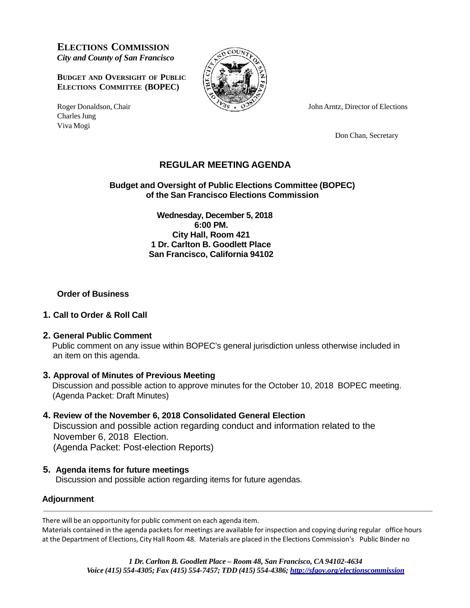**ELECTIONS COMMISSION** *City and County of San Francisco*

**BUDGET AND OVERSIGHT OF PUBLIC ELECTIONS COMMITTEE (BOPEC)**

Charles Jung Viva Mogi



Roger Donaldson, Chair  $\sqrt{\gamma}$   $\sqrt{\gamma}$  John Arntz, Director of Elections

Don Chan, Secretary

## **REGULAR MEETING AGENDA**

### **Budget and Oversight of Public Elections Committee (BOPEC) of the San Francisco Elections Commission**

**Wednesday, December 5, 2018 6:00 PM. City Hall, Room 421 1 Dr. Carlton B. Goodlett Place San Francisco, California 94102**

### **Order of Business**

#### **1. Call to Order & Roll Call**

#### **2. General Public Comment**

 Public comment on any issue within BOPEC's general jurisdiction unless otherwise included in an item on this agenda.

#### **3. Approval of Minutes of Previous Meeting**

 Discussion and possible action to approve minutes for the October 10, 2018 BOPEC meeting. (Agenda Packet: Draft Minutes)

# **4. Review of the November 6, 2018 Consolidated General Election**

 Discussion and possible action regarding conduct and information related to the November 6, 2018 Election. (Agenda Packet: Post-election Reports)

## **5. Agenda items for future meetings**

Discussion and possible action regarding items for future agendas.

## **Adjournment**

There will be an opportunity for public comment on each agenda item.

Materials contained in the agenda packets for meetings are available for inspection and copying during regular office hours at the Department of Elections, City Hall Room 48. Materials are placed in the Elections Commission's Public Binder no